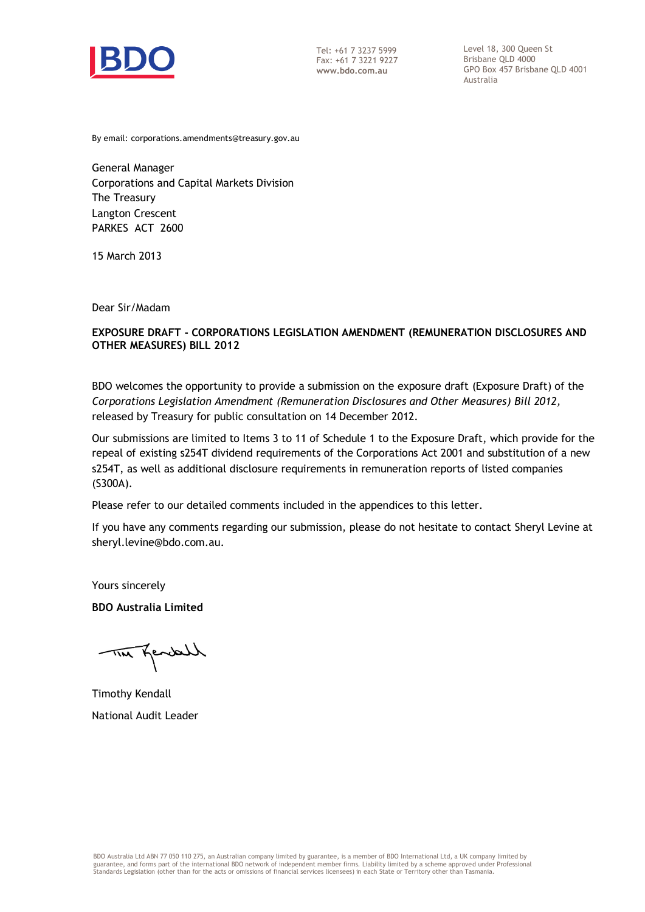

Tel: +61 7 3237 5999 Fax: +61 7 3221 9227 **www.bdo.com.au**

Level 18, 300 Queen St Brisbane QLD 4000 GPO Box 457 Brisbane QLD 4001 Australia

By email: corporations.amendments@treasury.gov.au

General Manager Corporations and Capital Markets Division The Treasury Langton Crescent PARKES ACT 2600

15 March 2013

Dear Sir/Madam

### **EXPOSURE DRAFT - CORPORATIONS LEGISLATION AMENDMENT (REMUNERATION DISCLOSURES AND OTHER MEASURES) BILL 2012**

BDO welcomes the opportunity to provide a submission on the exposure draft (Exposure Draft) of the *Corporations Legislation Amendment (Remuneration Disclosures and Other Measures) Bill 2012,*  released by Treasury for public consultation on 14 December 2012.

Our submissions are limited to Items 3 to 11 of Schedule 1 to the Exposure Draft, which provide for the repeal of existing s254T dividend requirements of the Corporations Act 2001 and substitution of a new s254T, as well as additional disclosure requirements in remuneration reports of listed companies (S300A).

Please refer to our detailed comments included in the appendices to this letter.

If you have any comments regarding our submission, please do not hesitate to contact Sheryl Levine at sheryl.levine@bdo.com.au.

Yours sincerely

**BDO Australia Limited**

TIM Kendell

Timothy Kendall National Audit Leader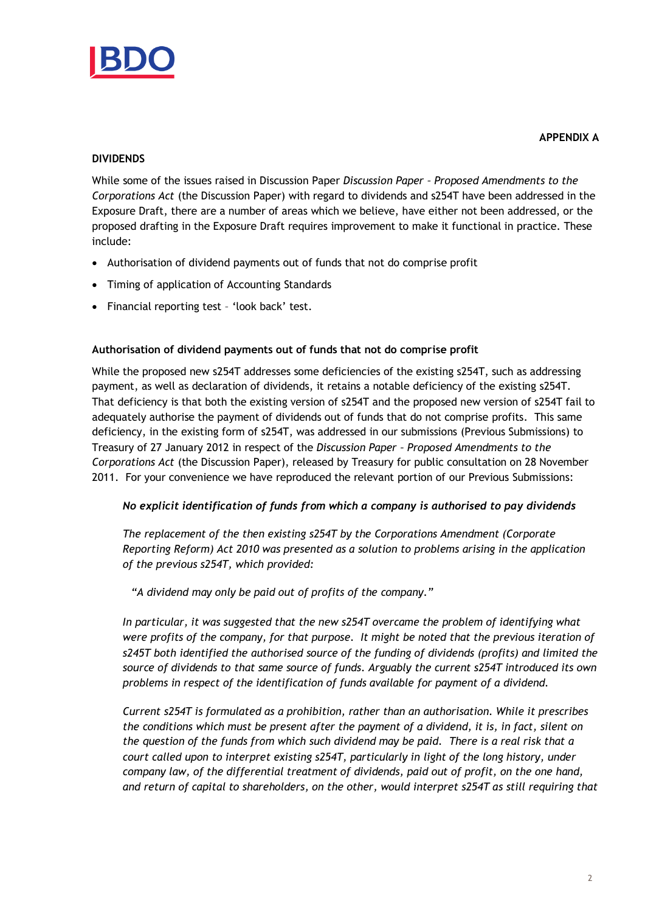

### **APPENDIX A**

# **DIVIDENDS**

While some of the issues raised in Discussion Paper *Discussion Paper – Proposed Amendments to the Corporations Act* (the Discussion Paper) with regard to dividends and s254T have been addressed in the Exposure Draft, there are a number of areas which we believe, have either not been addressed, or the proposed drafting in the Exposure Draft requires improvement to make it functional in practice. These include:

- Authorisation of dividend payments out of funds that not do comprise profit
- Timing of application of Accounting Standards
- Financial reporting test 'look back' test.

### **Authorisation of dividend payments out of funds that not do comprise profit**

While the proposed new s254T addresses some deficiencies of the existing s254T, such as addressing payment, as well as declaration of dividends, it retains a notable deficiency of the existing s254T. That deficiency is that both the existing version of s254T and the proposed new version of s254T fail to adequately authorise the payment of dividends out of funds that do not comprise profits. This same deficiency, in the existing form of s254T, was addressed in our submissions (Previous Submissions) to Treasury of 27 January 2012 in respect of the *Discussion Paper – Proposed Amendments to the Corporations Act* (the Discussion Paper), released by Treasury for public consultation on 28 November 2011. For your convenience we have reproduced the relevant portion of our Previous Submissions:

# *No explicit identification of funds from which a company is authorised to pay dividends*

*The replacement of the then existing s254T by the Corporations Amendment (Corporate Reporting Reform) Act 2010 was presented as a solution to problems arising in the application of the previous s254T, which provided:*

*"A dividend may only be paid out of profits of the [company](http://www.austlii.edu.au/au/legis/cth/num_act/ca2001172/s9.html#company)."* 

*In particular, it was suggested that the new s254T overcame the problem of identifying what were profits of the company, for that purpose. It might be noted that the previous iteration of s245T both identified the authorised source of the funding of dividends (profits) and limited the source of dividends to that same source of funds. Arguably the current s254T introduced its own problems in respect of the identification of funds available for payment of a dividend.* 

*Current s254T is formulated as a prohibition, rather than an authorisation. While it prescribes the conditions which must be present after the payment of a dividend, it is, in fact, silent on the question of the funds from which such dividend may be paid. There is a real risk that a court called upon to interpret existing s254T, particularly in light of the long history, under company law, of the differential treatment of dividends, paid out of profit, on the one hand, and return of capital to shareholders, on the other, would interpret s254T as still requiring that*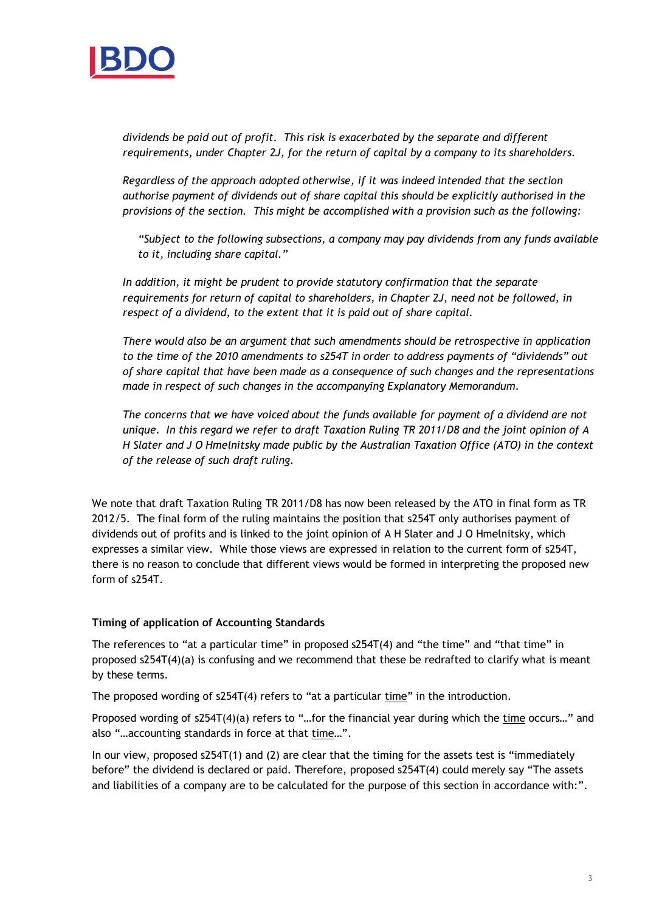

*dividends be paid out of profit. This risk is exacerbated by the separate and different requirements, under Chapter 2J, for the return of capital by a company to its shareholders.*

*Regardless of the approach adopted otherwise, if it was indeed intended that the section authorise payment of dividends out of share capital this should be explicitly authorised in the provisions of the section. This might be accomplished with a provision such as the following:*

*"Subject to the following subsections, a company may pay dividends from any funds available to it, including share capital."*

*In addition, it might be prudent to provide statutory confirmation that the separate requirements for return of capital to shareholders, in Chapter 2J, need not be followed, in respect of a dividend, to the extent that it is paid out of share capital.*

*There would also be an argument that such amendments should be retrospective in application to the time of the 2010 amendments to s254T in order to address payments of "dividends" out of share capital that have been made as a consequence of such changes and the representations made in respect of such changes in the accompanying Explanatory Memorandum.*

*The concerns that we have voiced about the funds available for payment of a dividend are not unique. In this regard we refer to draft Taxation Ruling TR 2011/D8 and the joint opinion of A H Slater and J O Hmelnitsky made public by the Australian Taxation Office (ATO) in the context of the release of such draft ruling.*

We note that draft Taxation Ruling TR 2011/D8 has now been released by the ATO in final form as TR 2012/5. The final form of the ruling maintains the position that s254T only authorises payment of dividends out of profits and is linked to the joint opinion of A H Slater and J O Hmelnitsky, which expresses a similar view. While those views are expressed in relation to the current form of s254T, there is no reason to conclude that different views would be formed in interpreting the proposed new form of s254T.

#### **Timing of application of Accounting Standards**

The references to "at a particular time" in proposed s254T(4) and "the time" and "that time" in proposed s254T(4)(a) is confusing and we recommend that these be redrafted to clarify what is meant by these terms.

The proposed wording of s254T(4) refers to "at a particular time" in the introduction.

Proposed wording of s254T(4)(a) refers to "…for the financial year during which the time occurs…" and also "…accounting standards in force at that time…".

In our view, proposed s254T(1) and (2) are clear that the timing for the assets test is "immediately before" the dividend is declared or paid. Therefore, proposed s254T(4) could merely say "The assets and liabilities of a company are to be calculated for the purpose of this section in accordance with:".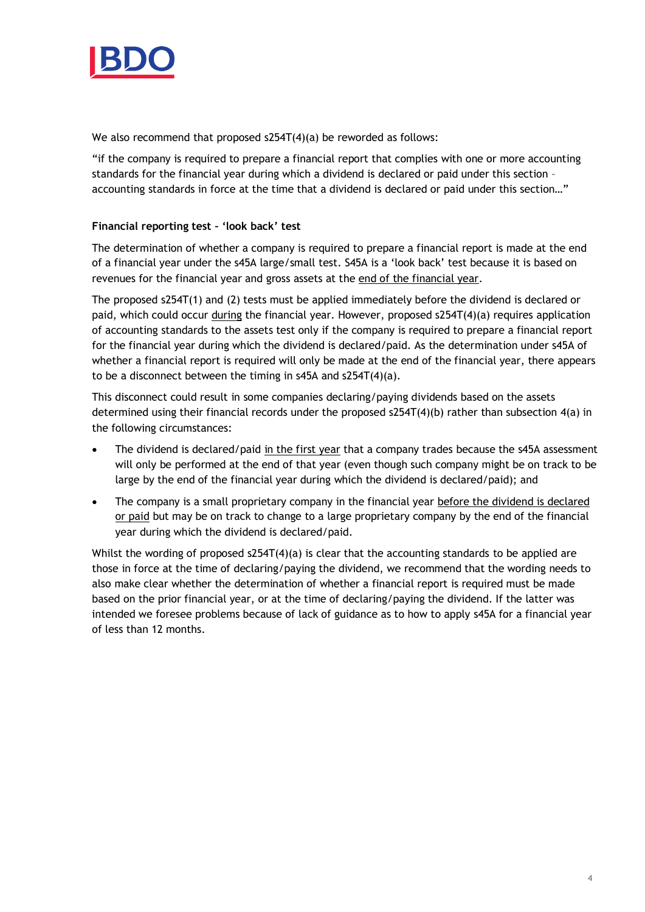

We also recommend that proposed s254T(4)(a) be reworded as follows:

"if the company is required to prepare a financial report that complies with one or more accounting standards for the financial year during which a dividend is declared or paid under this section – accounting standards in force at the time that a dividend is declared or paid under this section…"

# **Financial reporting test – 'look back' test**

The determination of whether a company is required to prepare a financial report is made at the end of a financial year under the s45A large/small test. S45A is a 'look back' test because it is based on revenues for the financial year and gross assets at the end of the financial year.

The proposed s254T(1) and (2) tests must be applied immediately before the dividend is declared or paid, which could occur during the financial year. However, proposed s254T(4)(a) requires application of accounting standards to the assets test only if the company is required to prepare a financial report for the financial year during which the dividend is declared/paid. As the determination under s45A of whether a financial report is required will only be made at the end of the financial year, there appears to be a disconnect between the timing in s45A and s254T(4)(a).

This disconnect could result in some companies declaring/paying dividends based on the assets determined using their financial records under the proposed s254T(4)(b) rather than subsection 4(a) in the following circumstances:

- The dividend is declared/paid in the first year that a company trades because the s45A assessment will only be performed at the end of that year (even though such company might be on track to be large by the end of the financial year during which the dividend is declared/paid); and
- The company is a small proprietary company in the financial year before the dividend is declared or paid but may be on track to change to a large proprietary company by the end of the financial year during which the dividend is declared/paid.

Whilst the wording of proposed s254T(4)(a) is clear that the accounting standards to be applied are those in force at the time of declaring/paying the dividend, we recommend that the wording needs to also make clear whether the determination of whether a financial report is required must be made based on the prior financial year, or at the time of declaring/paying the dividend. If the latter was intended we foresee problems because of lack of guidance as to how to apply s45A for a financial year of less than 12 months.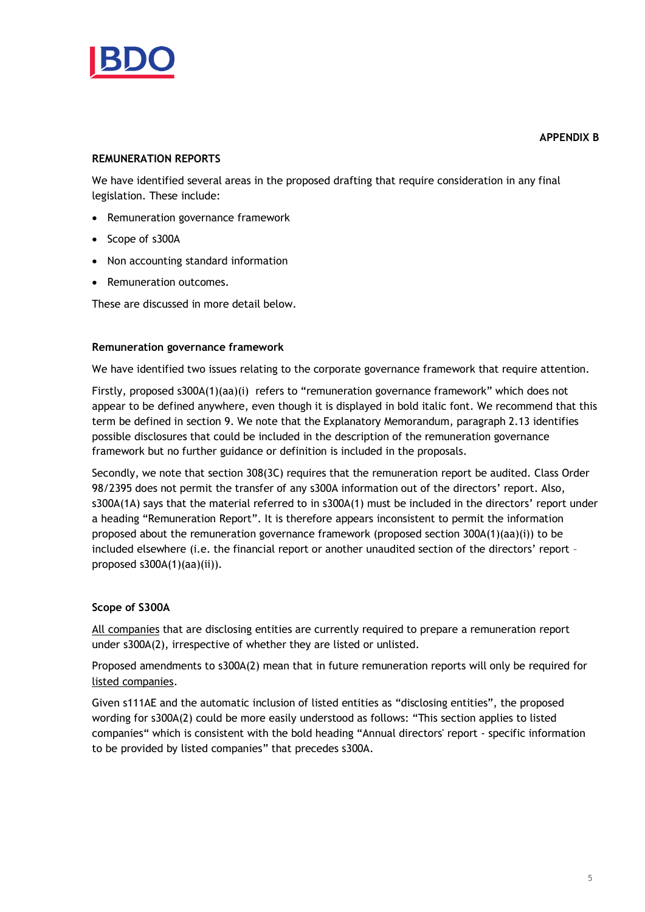

#### **APPENDIX B**

### **REMUNERATION REPORTS**

We have identified several areas in the proposed drafting that require consideration in any final legislation. These include:

- Remuneration governance framework
- Scope of s300A
- Non accounting standard information
- Remuneration outcomes.

These are discussed in more detail below.

#### **Remuneration governance framework**

We have identified two issues relating to the corporate governance framework that require attention.

Firstly, proposed s300A(1)(aa)(i) refers to "remuneration governance framework" which does not appear to be defined anywhere, even though it is displayed in bold italic font. We recommend that this term be defined in section 9. We note that the Explanatory Memorandum, paragraph 2.13 identifies possible disclosures that could be included in the description of the remuneration governance framework but no further guidance or definition is included in the proposals.

Secondly, we note that section 308(3C) requires that the remuneration report be audited. Class Order 98/2395 does not permit the transfer of any s300A information out of the directors' report. Also, s300A(1A) says that the material referred to in s300A(1) must be included in the directors' report under a heading "Remuneration Report". It is therefore appears inconsistent to permit the information proposed about the remuneration governance framework (proposed section 300A(1)(aa)(i)) to be included elsewhere (i.e. the financial report or another unaudited section of the directors' report – proposed s300A(1)(aa)(ii)).

#### **Scope of S300A**

All companies that are disclosing entities are currently required to prepare a remuneration report under s300A(2), irrespective of whether they are listed or unlisted.

Proposed amendments to s300A(2) mean that in future remuneration reports will only be required for listed companies.

Given s111AE and the automatic inclusion of listed entities as "disclosing entities", the proposed wording for s300A(2) could be more easily understood as follows: "This section applies to listed companies" which is consistent with the bold heading "Annual directors' report - specific information to be provided by listed companies" that precedes s300A.